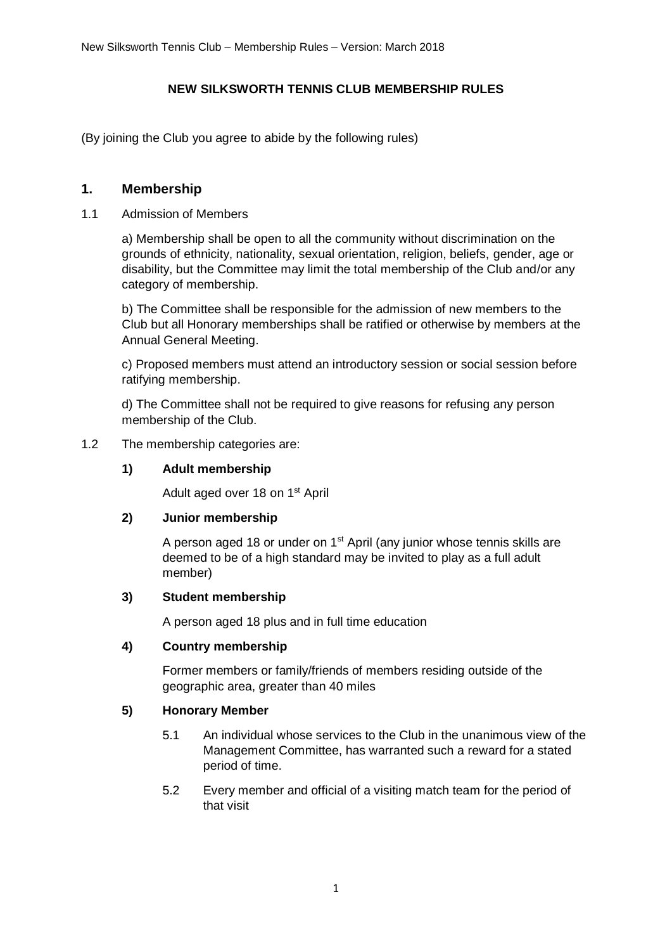### **NEW SILKSWORTH TENNIS CLUB MEMBERSHIP RULES**

(By joining the Club you agree to abide by the following rules)

## **1. Membership**

#### 1.1 Admission of Members

a) Membership shall be open to all the community without discrimination on the grounds of ethnicity, nationality, sexual orientation, religion, beliefs, gender, age or disability, but the Committee may limit the total membership of the Club and/or any category of membership.

b) The Committee shall be responsible for the admission of new members to the Club but all Honorary memberships shall be ratified or otherwise by members at the Annual General Meeting.

c) Proposed members must attend an introductory session or social session before ratifying membership.

d) The Committee shall not be required to give reasons for refusing any person membership of the Club.

#### 1.2 The membership categories are:

### **1) Adult membership**

Adult aged over 18 on 1<sup>st</sup> April

### **2) Junior membership**

A person aged 18 or under on 1<sup>st</sup> April (any junior whose tennis skills are deemed to be of a high standard may be invited to play as a full adult member)

#### **3) Student membership**

A person aged 18 plus and in full time education

### **4) Country membership**

Former members or family/friends of members residing outside of the geographic area, greater than 40 miles

### **5) Honorary Member**

- 5.1 An individual whose services to the Club in the unanimous view of the Management Committee, has warranted such a reward for a stated period of time.
- 5.2 Every member and official of a visiting match team for the period of that visit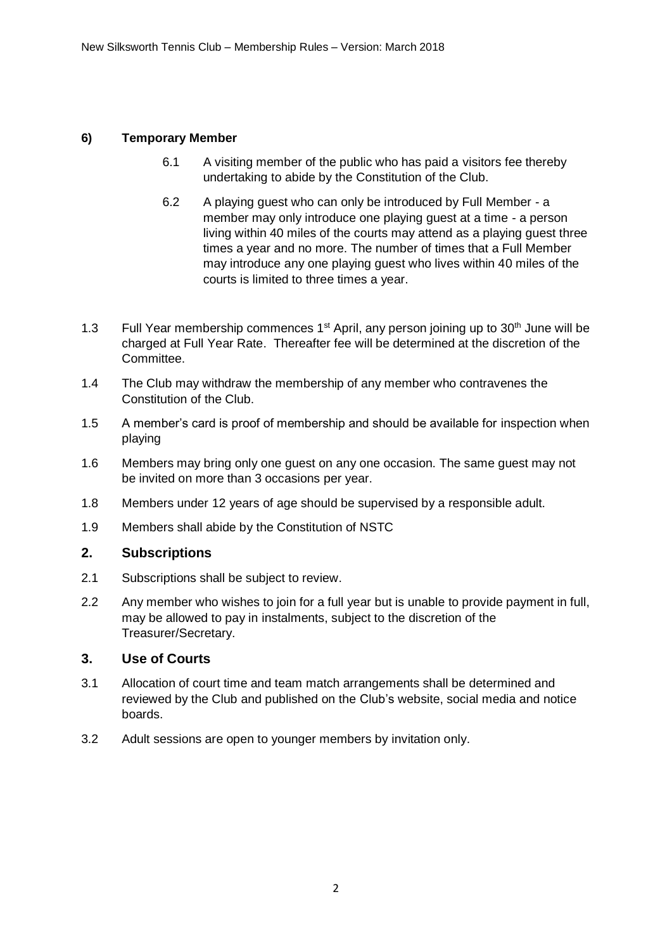## **6) Temporary Member**

- 6.1 A visiting member of the public who has paid a visitors fee thereby undertaking to abide by the Constitution of the Club.
- 6.2 A playing guest who can only be introduced by Full Member a member may only introduce one playing guest at a time - a person living within 40 miles of the courts may attend as a playing guest three times a year and no more. The number of times that a Full Member may introduce any one playing guest who lives within 40 miles of the courts is limited to three times a year.
- 1.3 Full Year membership commences  $1<sup>st</sup>$  April, any person joining up to  $30<sup>th</sup>$  June will be charged at Full Year Rate. Thereafter fee will be determined at the discretion of the Committee.
- 1.4 The Club may withdraw the membership of any member who contravenes the Constitution of the Club.
- 1.5 A member's card is proof of membership and should be available for inspection when playing
- 1.6 Members may bring only one guest on any one occasion. The same guest may not be invited on more than 3 occasions per year.
- 1.8 Members under 12 years of age should be supervised by a responsible adult.
- 1.9 Members shall abide by the Constitution of NSTC

### **2. Subscriptions**

- 2.1 Subscriptions shall be subject to review.
- 2.2 Any member who wishes to join for a full year but is unable to provide payment in full, may be allowed to pay in instalments, subject to the discretion of the Treasurer/Secretary.

### **3. Use of Courts**

- 3.1 Allocation of court time and team match arrangements shall be determined and reviewed by the Club and published on the Club's website, social media and notice boards.
- 3.2 Adult sessions are open to younger members by invitation only.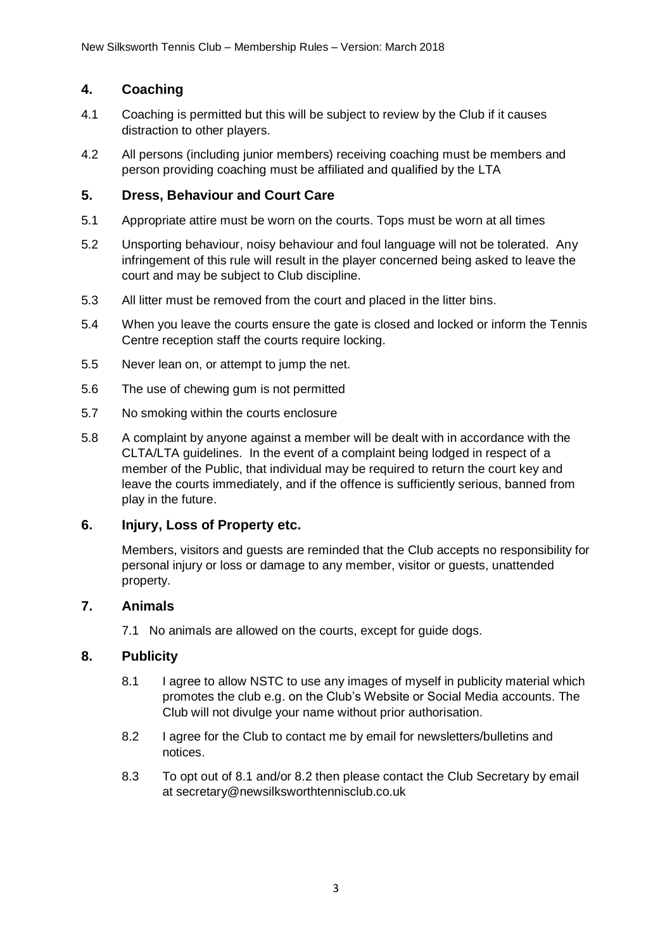# **4. Coaching**

- 4.1 Coaching is permitted but this will be subject to review by the Club if it causes distraction to other players.
- 4.2 All persons (including junior members) receiving coaching must be members and person providing coaching must be affiliated and qualified by the LTA

### **5. Dress, Behaviour and Court Care**

- 5.1 Appropriate attire must be worn on the courts. Tops must be worn at all times
- 5.2 Unsporting behaviour, noisy behaviour and foul language will not be tolerated. Any infringement of this rule will result in the player concerned being asked to leave the court and may be subject to Club discipline.
- 5.3 All litter must be removed from the court and placed in the litter bins.
- 5.4 When you leave the courts ensure the gate is closed and locked or inform the Tennis Centre reception staff the courts require locking.
- 5.5 Never lean on, or attempt to jump the net.
- 5.6 The use of chewing gum is not permitted
- 5.7 No smoking within the courts enclosure
- 5.8 A complaint by anyone against a member will be dealt with in accordance with the CLTA/LTA guidelines. In the event of a complaint being lodged in respect of a member of the Public, that individual may be required to return the court key and leave the courts immediately, and if the offence is sufficiently serious, banned from play in the future.

### **6. Injury, Loss of Property etc.**

Members, visitors and guests are reminded that the Club accepts no responsibility for personal injury or loss or damage to any member, visitor or guests, unattended property.

### **7. Animals**

7.1 No animals are allowed on the courts, except for guide dogs.

### **8. Publicity**

- 8.1 I agree to allow NSTC to use any images of myself in publicity material which promotes the club e.g. on the Club's Website or Social Media accounts. The Club will not divulge your name without prior authorisation.
- 8.2 I agree for the Club to contact me by email for newsletters/bulletins and notices.
- 8.3 To opt out of 8.1 and/or 8.2 then please contact the Club Secretary by email at secretary@newsilksworthtennisclub.co.uk